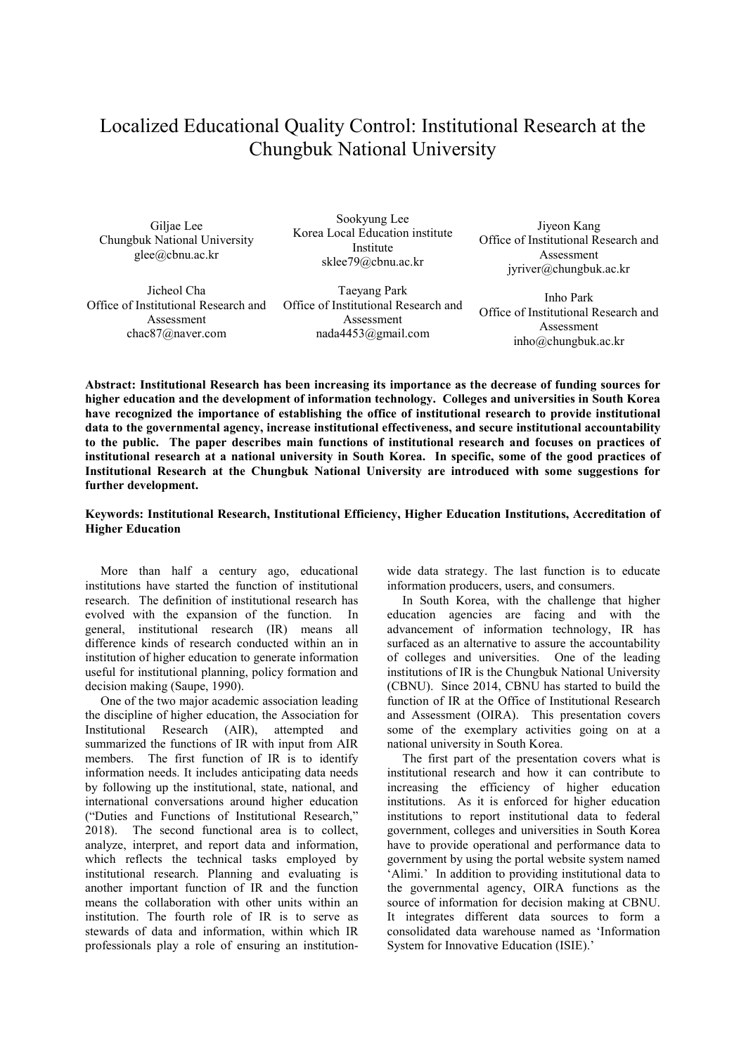## Localized Educational Quality Control: Institutional Research at the Chungbuk National University

Giljae Lee Chungbuk National University glee@cbnu.ac.kr

Sookyung Lee Korea Local Education institute Institute sklee79@cbnu.ac.kr

Jicheol Cha Office of Institutional Research and Assessment chac87@naver.com

Taeyang Park Office of Institutional Research and Assessment nada4453@gmail.com

Jiyeon Kang Office of Institutional Research and Assessment jyriver@chungbuk.ac.kr

Inho Park Office of Institutional Research and Assessment inho@chungbuk.ac.kr

**Abstract: Institutional Research has been increasing its importance as the decrease of funding sources for higher education and the development of information technology. Colleges and universities in South Korea have recognized the importance of establishing the office of institutional research to provide institutional data to the governmental agency, increase institutional effectiveness, and secure institutional accountability to the public. The paper describes main functions of institutional research and focuses on practices of institutional research at a national university in South Korea. In specific, some of the good practices of Institutional Research at the Chungbuk National University are introduced with some suggestions for further development.** 

## **Keywords: Institutional Research, Institutional Efficiency, Higher Education Institutions, Accreditation of Higher Education**

More than half a century ago, educational institutions have started the function of institutional research. The definition of institutional research has evolved with the expansion of the function. In general, institutional research (IR) means all difference kinds of research conducted within an in institution of higher education to generate information useful for institutional planning, policy formation and decision making (Saupe, 1990).

One of the two major academic association leading the discipline of higher education, the Association for Institutional Research (AIR), attempted and summarized the functions of IR with input from AIR members. The first function of IR is to identify information needs. It includes anticipating data needs by following up the institutional, state, national, and international conversations around higher education ("Duties and Functions of Institutional Research," 2018). The second functional area is to collect, analyze, interpret, and report data and information, which reflects the technical tasks employed by institutional research. Planning and evaluating is another important function of IR and the function means the collaboration with other units within an institution. The fourth role of IR is to serve as stewards of data and information, within which IR professionals play a role of ensuring an institutionwide data strategy. The last function is to educate information producers, users, and consumers.

In South Korea, with the challenge that higher education agencies are facing and with the advancement of information technology, IR has surfaced as an alternative to assure the accountability of colleges and universities. One of the leading institutions of IR is the Chungbuk National University (CBNU). Since 2014, CBNU has started to build the function of IR at the Office of Institutional Research and Assessment (OIRA). This presentation covers some of the exemplary activities going on at a national university in South Korea.

The first part of the presentation covers what is institutional research and how it can contribute to increasing the efficiency of higher education institutions. As it is enforced for higher education institutions to report institutional data to federal government, colleges and universities in South Korea have to provide operational and performance data to government by using the portal website system named 'Alimi.' In addition to providing institutional data to the governmental agency, OIRA functions as the source of information for decision making at CBNU. It integrates different data sources to form a consolidated data warehouse named as 'Information System for Innovative Education (ISIE).'